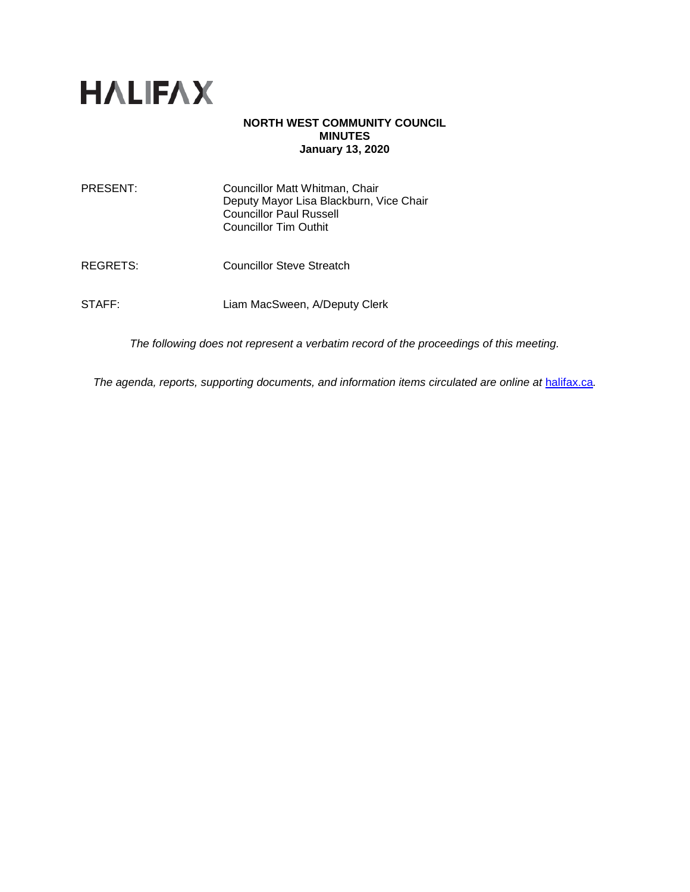

#### **NORTH WEST COMMUNITY COUNCIL MINUTES January 13, 2020**

| PRESENT: | Councillor Matt Whitman, Chair<br>Deputy Mayor Lisa Blackburn, Vice Chair<br><b>Councillor Paul Russell</b><br><b>Councillor Tim Outhit</b> |
|----------|---------------------------------------------------------------------------------------------------------------------------------------------|
| REGRETS: | <b>Councillor Steve Streatch</b>                                                                                                            |
| STAFF:   | Liam MacSween, A/Deputy Clerk                                                                                                               |

*The following does not represent a verbatim record of the proceedings of this meeting.*

*The agenda, reports, supporting documents, and information items circulated are online at [halifax.ca](http://www.halifax.ca/).*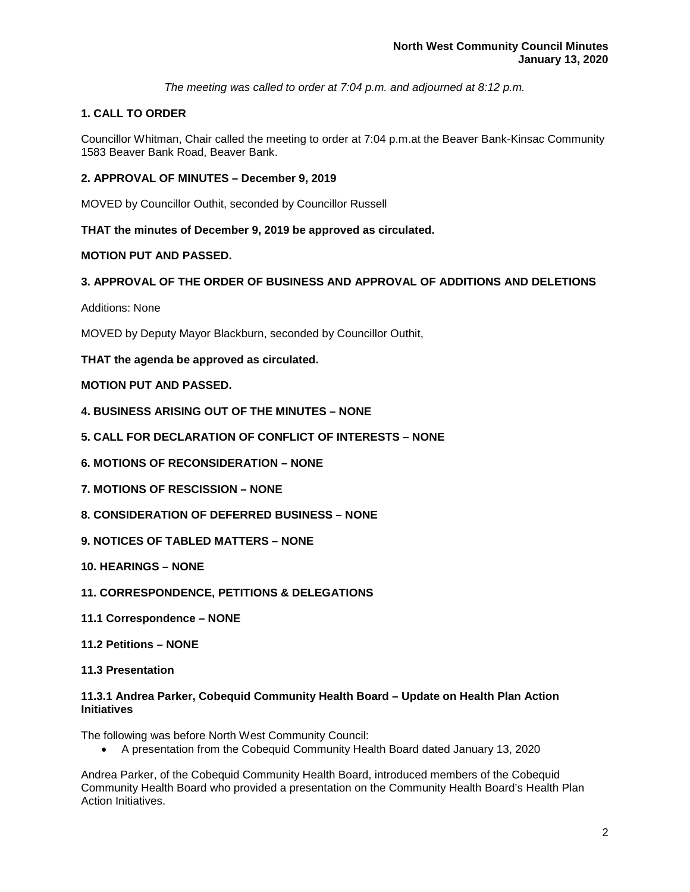*The meeting was called to order at 7:04 p.m. and adjourned at 8:12 p.m.*

# **1. CALL TO ORDER**

Councillor Whitman, Chair called the meeting to order at 7:04 p.m.at the Beaver Bank-Kinsac Community 1583 Beaver Bank Road, Beaver Bank.

## **2. APPROVAL OF MINUTES – December 9, 2019**

MOVED by Councillor Outhit, seconded by Councillor Russell

**THAT the minutes of December 9, 2019 be approved as circulated.**

## **MOTION PUT AND PASSED.**

## **3. APPROVAL OF THE ORDER OF BUSINESS AND APPROVAL OF ADDITIONS AND DELETIONS**

Additions: None

MOVED by Deputy Mayor Blackburn, seconded by Councillor Outhit,

## **THAT the agenda be approved as circulated.**

## **MOTION PUT AND PASSED.**

- **4. BUSINESS ARISING OUT OF THE MINUTES – NONE**
- **5. CALL FOR DECLARATION OF CONFLICT OF INTERESTS – NONE**
- **6. MOTIONS OF RECONSIDERATION – NONE**
- **7. MOTIONS OF RESCISSION – NONE**
- **8. CONSIDERATION OF DEFERRED BUSINESS – NONE**
- **9. NOTICES OF TABLED MATTERS – NONE**
- **10. HEARINGS – NONE**
- **11. CORRESPONDENCE, PETITIONS & DELEGATIONS**
- **11.1 Correspondence – NONE**
- **11.2 Petitions – NONE**
- **11.3 Presentation**

#### **11.3.1 Andrea Parker, Cobequid Community Health Board – Update on Health Plan Action Initiatives**

The following was before North West Community Council:

• A presentation from the Cobequid Community Health Board dated January 13, 2020

Andrea Parker, of the Cobequid Community Health Board, introduced members of the Cobequid Community Health Board who provided a presentation on the Community Health Board's Health Plan Action Initiatives.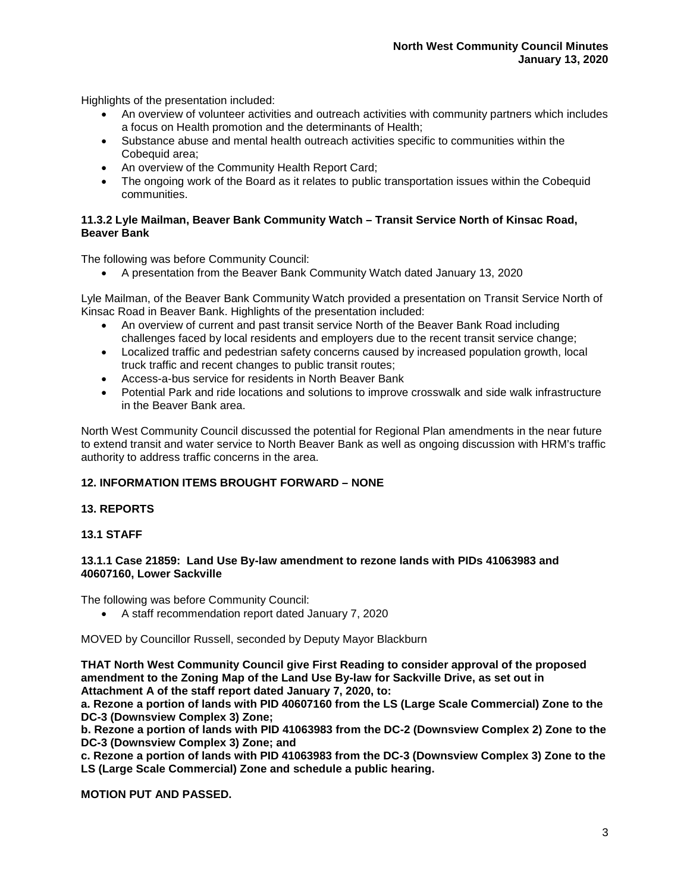Highlights of the presentation included:

- An overview of volunteer activities and outreach activities with community partners which includes a focus on Health promotion and the determinants of Health;
- Substance abuse and mental health outreach activities specific to communities within the Cobequid area;
- An overview of the Community Health Report Card;
- The ongoing work of the Board as it relates to public transportation issues within the Cobequid communities.

## **11.3.2 Lyle Mailman, Beaver Bank Community Watch – Transit Service North of Kinsac Road, Beaver Bank**

The following was before Community Council:

• A presentation from the Beaver Bank Community Watch dated January 13, 2020

Lyle Mailman, of the Beaver Bank Community Watch provided a presentation on Transit Service North of Kinsac Road in Beaver Bank. Highlights of the presentation included:

- An overview of current and past transit service North of the Beaver Bank Road including challenges faced by local residents and employers due to the recent transit service change;
- Localized traffic and pedestrian safety concerns caused by increased population growth, local truck traffic and recent changes to public transit routes;
- Access-a-bus service for residents in North Beaver Bank
- Potential Park and ride locations and solutions to improve crosswalk and side walk infrastructure in the Beaver Bank area.

North West Community Council discussed the potential for Regional Plan amendments in the near future to extend transit and water service to North Beaver Bank as well as ongoing discussion with HRM's traffic authority to address traffic concerns in the area.

## **12. INFORMATION ITEMS BROUGHT FORWARD – NONE**

## **13. REPORTS**

**13.1 STAFF**

#### **13.1.1 Case 21859: Land Use By-law amendment to rezone lands with PIDs 41063983 and 40607160, Lower Sackville**

The following was before Community Council:

• A staff recommendation report dated January 7, 2020

MOVED by Councillor Russell, seconded by Deputy Mayor Blackburn

**THAT North West Community Council give First Reading to consider approval of the proposed amendment to the Zoning Map of the Land Use By-law for Sackville Drive, as set out in Attachment A of the staff report dated January 7, 2020, to:**

**a. Rezone a portion of lands with PID 40607160 from the LS (Large Scale Commercial) Zone to the DC-3 (Downsview Complex 3) Zone;**

**b. Rezone a portion of lands with PID 41063983 from the DC-2 (Downsview Complex 2) Zone to the DC-3 (Downsview Complex 3) Zone; and** 

**c. Rezone a portion of lands with PID 41063983 from the DC-3 (Downsview Complex 3) Zone to the LS (Large Scale Commercial) Zone and schedule a public hearing.**

**MOTION PUT AND PASSED.**